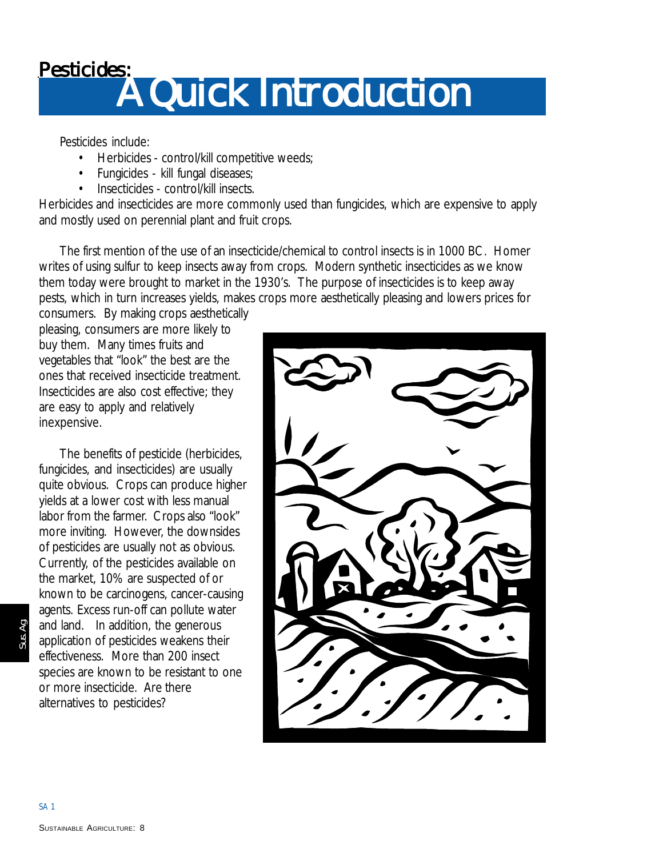### **Pesticides: Pesticides: A Quick Introduction**

Pesticides include:

- Herbicides control/kill competitive weeds;
- Fungicides kill fungal diseases;
- Insecticides control/kill insects

Herbicides and insecticides are more commonly used than fungicides, which are expensive to apply and mostly used on perennial plant and fruit crops.

The first mention of the use of an insecticide/chemical to control insects is in 1000 BC. Homer writes of using sulfur to keep insects away from crops. Modern synthetic insecticides as we know them today were brought to market in the 1930's. The purpose of insecticides is to keep away pests, which in turn increases yields, makes crops more aesthetically pleasing and lowers prices for

consumers. By making crops aesthetically pleasing, consumers are more likely to buy them. Many times fruits and vegetables that "look" the best are the ones that received insecticide treatment. Insecticides are also cost effective; they are easy to apply and relatively inexpensive.

The benefits of pesticide (herbicides, fungicides, and insecticides) are usually quite obvious. Crops can produce higher yields at a lower cost with less manual labor from the farmer. Crops also "look" more inviting. However, the downsides of pesticides are usually not as obvious. Currently, of the pesticides available on the market, 10% are suspected of or known to be carcinogens, cancer-causing agents. Excess run-off can pollute water and land. In addition, the generous application of pesticides weakens their effectiveness. More than 200 insect species are known to be resistant to one or more insecticide. Are there alternatives to pesticides?



Sus. Ag.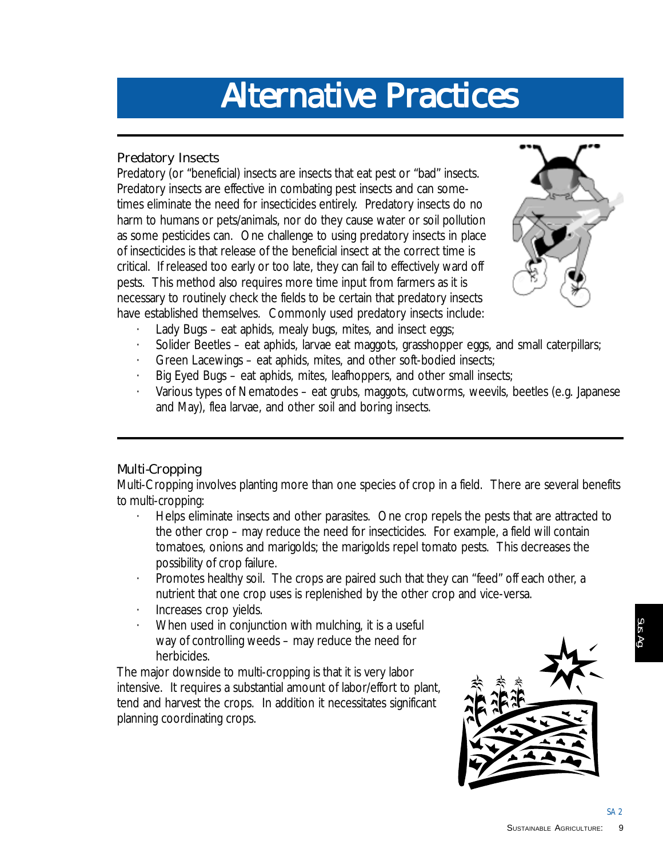## **Alternative Practices Alternative Alternative Practices**

#### **Predatory Insects**

Predatory (or "beneficial) insects are insects that eat pest or "bad" insects. Predatory insects are effective in combating pest insects and can sometimes eliminate the need for insecticides entirely. Predatory insects do no harm to humans or pets/animals, nor do they cause water or soil pollution as some pesticides can. One challenge to using predatory insects in place of insecticides is that release of the beneficial insect at the correct time is critical. If released too early or too late, they can fail to effectively ward off pests. This method also requires more time input from farmers as it is necessary to routinely check the fields to be certain that predatory insects have established themselves. Commonly used predatory insects include:



- Lady Bugs eat aphids, mealy bugs, mites, and insect eggs;
- Solider Beetles eat aphids, larvae eat maggots, grasshopper eggs, and small caterpillars;
- Green Lacewings eat aphids, mites, and other soft-bodied insects;
- Big Eyed Bugs eat aphids, mites, leafhoppers, and other small insects;
- · Various types of Nematodes eat grubs, maggots, cutworms, weevils, beetles (e.g. Japanese and May), flea larvae, and other soil and boring insects.

#### **Multi-Cropping**

Multi-Cropping involves planting more than one species of crop in a field. There are several benefits to multi-cropping:

- · Helps eliminate insects and other parasites. One crop repels the pests that are attracted to the other crop – may reduce the need for insecticides. For example, a field will contain tomatoes, onions and marigolds; the marigolds repel tomato pests. This decreases the possibility of crop failure.
- · Promotes healthy soil. The crops are paired such that they can "feed" off each other, a nutrient that one crop uses is replenished by the other crop and vice-versa.
- Increases crop yields.
- When used in conjunction with mulching, it is a useful way of controlling weeds – may reduce the need for herbicides.

The major downside to multi-cropping is that it is very labor intensive. It requires a substantial amount of labor/effort to plant, tend and harvest the crops. In addition it necessitates significant planning coordinating crops.



SA 2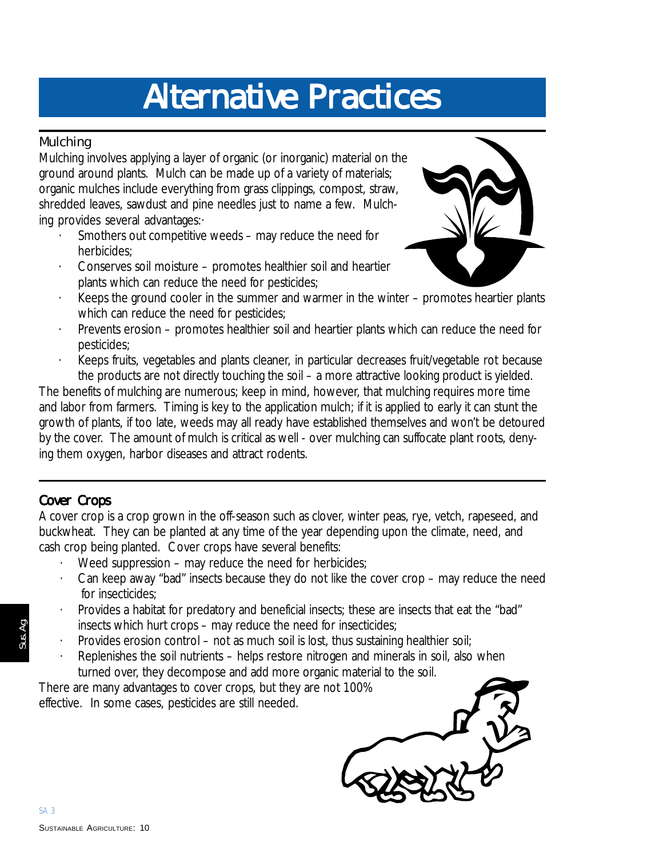## **Alternative Practices Alternative Practices Alternative Practices**

#### **Mulching**

Mulching involves applying a layer of organic (or inorganic) material on the ground around plants. Mulch can be made up of a variety of materials; organic mulches include everything from grass clippings, compost, straw, shredded leaves, sawdust and pine needles just to name a few. Mulching provides several advantages:·

- Smothers out competitive weeds may reduce the need for herbicides;
- · Conserves soil moisture promotes healthier soil and heartier plants which can reduce the need for pesticides;



- Keeps the ground cooler in the summer and warmer in the winter promotes heartier plants which can reduce the need for pesticides;
- Prevents erosion promotes healthier soil and heartier plants which can reduce the need for pesticides;
- Keeps fruits, vegetables and plants cleaner, in particular decreases fruit/vegetable rot because the products are not directly touching the soil – a more attractive looking product is yielded.

The benefits of mulching are numerous; keep in mind, however, that mulching requires more time and labor from farmers. Timing is key to the application mulch; if it is applied to early it can stunt the growth of plants, if too late, weeds may all ready have established themselves and won't be detoured by the cover. The amount of mulch is critical as well - over mulching can suffocate plant roots, denying them oxygen, harbor diseases and attract rodents.

#### **Cover Crops**

A cover crop is a crop grown in the off-season such as clover, winter peas, rye, vetch, rapeseed, and buckwheat. They can be planted at any time of the year depending upon the climate, need, and cash crop being planted. Cover crops have several benefits:

- · Weed suppression may reduce the need for herbicides;
- · Can keep away "bad" insects because they do not like the cover crop may reduce the need for insecticides;
- · Provides a habitat for predatory and beneficial insects; these are insects that eat the "bad" insects which hurt crops – may reduce the need for insecticides;
- Provides erosion control not as much soil is lost, thus sustaining healthier soil;
- Replenishes the soil nutrients helps restore nitrogen and minerals in soil, also when turned over, they decompose and add more organic material to the soil.

There are many advantages to cover crops, but they are not 100% effective. In some cases, pesticides are still needed.

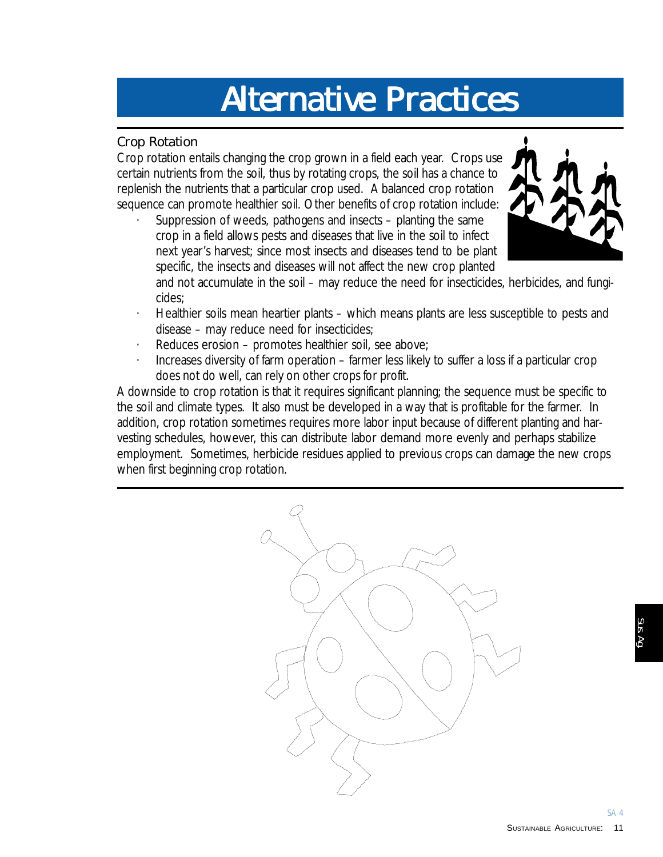## **Alternative Practices Alternative Practices Alternative Practices**

#### **Crop Rotation**

Crop rotation entails changing the crop grown in a field each year. Crops use certain nutrients from the soil, thus by rotating crops, the soil has a chance to replenish the nutrients that a particular crop used. A balanced crop rotation sequence can promote healthier soil. Other benefits of crop rotation include:

Suppression of weeds, pathogens and insects  $-$  planting the same crop in a field allows pests and diseases that live in the soil to infect next year's harvest; since most insects and diseases tend to be plant specific, the insects and diseases will not affect the new crop planted



and not accumulate in the soil – may reduce the need for insecticides, herbicides, and fungicides;

- · Healthier soils mean heartier plants which means plants are less susceptible to pests and disease – may reduce need for insecticides;
- · Reduces erosion promotes healthier soil, see above;
- · Increases diversity of farm operation farmer less likely to suffer a loss if a particular crop does not do well, can rely on other crops for profit.

A downside to crop rotation is that it requires significant planning; the sequence must be specific to the soil and climate types. It also must be developed in a way that is profitable for the farmer. In addition, crop rotation sometimes requires more labor input because of different planting and harvesting schedules, however, this can distribute labor demand more evenly and perhaps stabilize employment. Sometimes, herbicide residues applied to previous crops can damage the new crops when first beginning crop rotation.

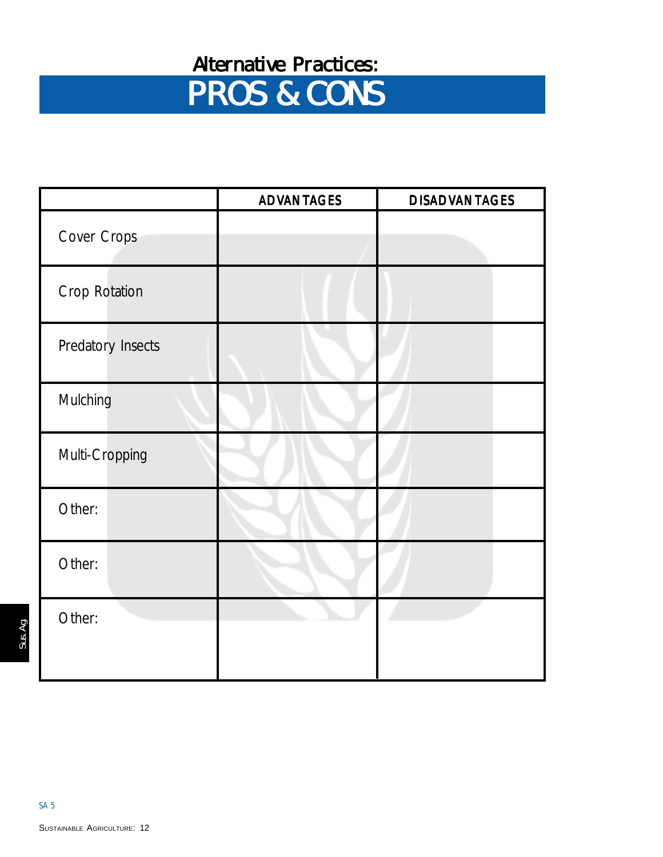### **Alternative Practices: Alternative Practices:**

# **PROS & CONS PROS & CONS**

|                   | <b>ADVANTAGES</b> | <b>DISADVANTAGES</b> |
|-------------------|-------------------|----------------------|
| Cover Crops       |                   |                      |
| Crop Rotation     |                   |                      |
| Predatory Insects |                   |                      |
| Mulching          |                   |                      |
| Multi-Cropping    |                   |                      |
| Other:            |                   |                      |
| Other:            |                   |                      |
| Other:            |                   |                      |